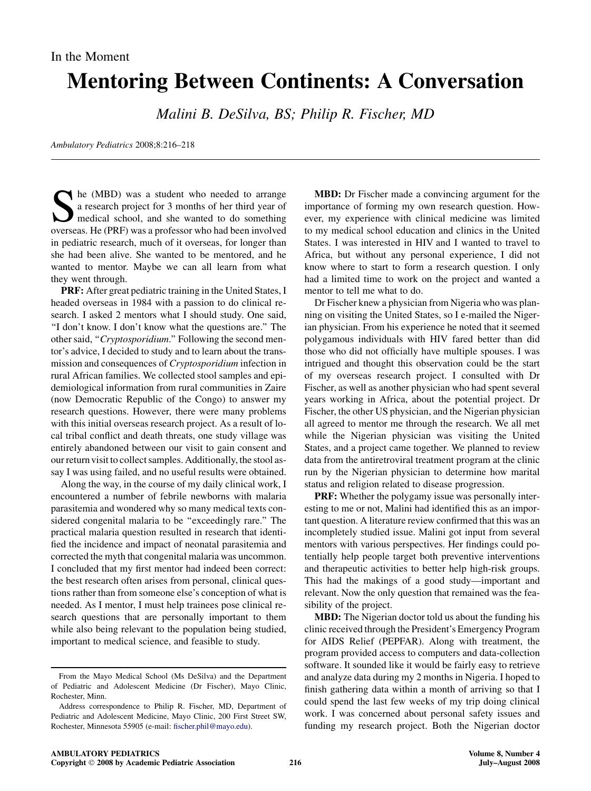## In the Moment

## Mentoring Between Continents: A Conversation

Malini B. DeSilva, BS; Philip R. Fischer, MD

Ambulatory Pediatrics 2008;8:216–218

She (MBD) was a student who needed to arrange<br>a research project for 3 months of her third year of<br>medical school, and she wanted to do something<br>overseas He (PRF) was a professor who had been involved a research project for 3 months of her third year of medical school, and she wanted to do something overseas. He (PRF) was a professor who had been involved in pediatric research, much of it overseas, for longer than she had been alive. She wanted to be mentored, and he wanted to mentor. Maybe we can all learn from what they went through.

PRF: After great pediatric training in the United States, I headed overseas in 1984 with a passion to do clinical research. I asked 2 mentors what I should study. One said, ''I don't know. I don't know what the questions are.'' The other said, "Cryptosporidium." Following the second mentor's advice, I decided to study and to learn about the transmission and consequences of *Cryptosporidium* infection in rural African families. We collected stool samples and epidemiological information from rural communities in Zaire (now Democratic Republic of the Congo) to answer my research questions. However, there were many problems with this initial overseas research project. As a result of local tribal conflict and death threats, one study village was entirely abandoned between our visit to gain consent and our return visit to collect samples. Additionally, the stool assay I was using failed, and no useful results were obtained.

Along the way, in the course of my daily clinical work, I encountered a number of febrile newborns with malaria parasitemia and wondered why so many medical texts considered congenital malaria to be "exceedingly rare." The practical malaria question resulted in research that identified the incidence and impact of neonatal parasitemia and corrected the myth that congenital malaria was uncommon. I concluded that my first mentor had indeed been correct: the best research often arises from personal, clinical questions rather than from someone else's conception of what is needed. As I mentor, I must help trainees pose clinical research questions that are personally important to them while also being relevant to the population being studied, important to medical science, and feasible to study.

MBD: Dr Fischer made a convincing argument for the importance of forming my own research question. However, my experience with clinical medicine was limited to my medical school education and clinics in the United States. I was interested in HIV and I wanted to travel to Africa, but without any personal experience, I did not know where to start to form a research question. I only had a limited time to work on the project and wanted a mentor to tell me what to do.

Dr Fischer knew a physician from Nigeria who was planning on visiting the United States, so I e-mailed the Nigerian physician. From his experience he noted that it seemed polygamous individuals with HIV fared better than did those who did not officially have multiple spouses. I was intrigued and thought this observation could be the start of my overseas research project. I consulted with Dr Fischer, as well as another physician who had spent several years working in Africa, about the potential project. Dr Fischer, the other US physician, and the Nigerian physician all agreed to mentor me through the research. We all met while the Nigerian physician was visiting the United States, and a project came together. We planned to review data from the antiretroviral treatment program at the clinic run by the Nigerian physician to determine how marital status and religion related to disease progression.

PRF: Whether the polygamy issue was personally interesting to me or not, Malini had identified this as an important question. A literature review confirmed that this was an incompletely studied issue. Malini got input from several mentors with various perspectives. Her findings could potentially help people target both preventive interventions and therapeutic activities to better help high-risk groups. This had the makings of a good study—important and relevant. Now the only question that remained was the feasibility of the project.

MBD: The Nigerian doctor told us about the funding his clinic received through the President's Emergency Program for AIDS Relief (PEPFAR). Along with treatment, the program provided access to computers and data-collection software. It sounded like it would be fairly easy to retrieve and analyze data during my 2 months in Nigeria. I hoped to finish gathering data within a month of arriving so that I could spend the last few weeks of my trip doing clinical work. I was concerned about personal safety issues and funding my research project. Both the Nigerian doctor

From the Mayo Medical School (Ms DeSilva) and the Department of Pediatric and Adolescent Medicine (Dr Fischer), Mayo Clinic, Rochester, Minn.

Address correspondence to Philip R. Fischer, MD, Department of Pediatric and Adolescent Medicine, Mayo Clinic, 200 First Street SW, Rochester, Minnesota 55905 (e-mail: [fischer.phil@mayo.edu](mailto:fischer.phil@mayo.edu)).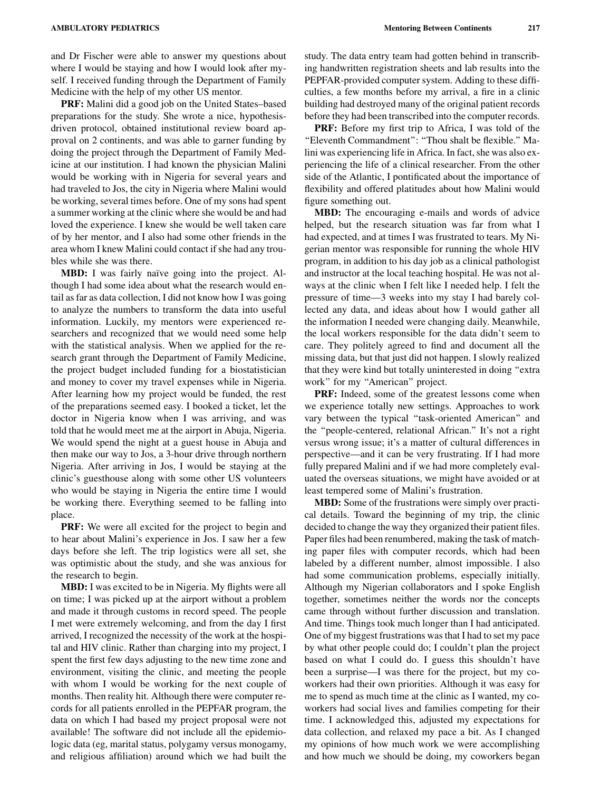and Dr Fischer were able to answer my questions about where I would be staying and how I would look after myself. I received funding through the Department of Family Medicine with the help of my other US mentor.

PRF: Malini did a good job on the United States–based preparations for the study. She wrote a nice, hypothesisdriven protocol, obtained institutional review board approval on 2 continents, and was able to garner funding by doing the project through the Department of Family Medicine at our institution. I had known the physician Malini would be working with in Nigeria for several years and had traveled to Jos, the city in Nigeria where Malini would be working, several times before. One of my sons had spent a summer working at the clinic where she would be and had loved the experience. I knew she would be well taken care of by her mentor, and I also had some other friends in the area whom I knew Malini could contact if she had any troubles while she was there.

**MBD:** I was fairly naïve going into the project. Although I had some idea about what the research would entail as far as data collection, I did not know how I was going to analyze the numbers to transform the data into useful information. Luckily, my mentors were experienced researchers and recognized that we would need some help with the statistical analysis. When we applied for the research grant through the Department of Family Medicine, the project budget included funding for a biostatistician and money to cover my travel expenses while in Nigeria. After learning how my project would be funded, the rest of the preparations seemed easy. I booked a ticket, let the doctor in Nigeria know when I was arriving, and was told that he would meet me at the airport in Abuja, Nigeria. We would spend the night at a guest house in Abuja and then make our way to Jos, a 3-hour drive through northern Nigeria. After arriving in Jos, I would be staying at the clinic's guesthouse along with some other US volunteers who would be staying in Nigeria the entire time I would be working there. Everything seemed to be falling into place.

PRF: We were all excited for the project to begin and to hear about Malini's experience in Jos. I saw her a few days before she left. The trip logistics were all set, she was optimistic about the study, and she was anxious for the research to begin.

MBD: I was excited to be in Nigeria. My flights were all on time; I was picked up at the airport without a problem and made it through customs in record speed. The people I met were extremely welcoming, and from the day I first arrived, I recognized the necessity of the work at the hospital and HIV clinic. Rather than charging into my project, I spent the first few days adjusting to the new time zone and environment, visiting the clinic, and meeting the people with whom I would be working for the next couple of months. Then reality hit. Although there were computer records for all patients enrolled in the PEPFAR program, the data on which I had based my project proposal were not available! The software did not include all the epidemiologic data (eg, marital status, polygamy versus monogamy, and religious affiliation) around which we had built the

study. The data entry team had gotten behind in transcribing handwritten registration sheets and lab results into the PEPFAR-provided computer system. Adding to these difficulties, a few months before my arrival, a fire in a clinic building had destroyed many of the original patient records before they had been transcribed into the computer records.

PRF: Before my first trip to Africa, I was told of the "Eleventh Commandment": "Thou shalt be flexible." Malini was experiencing life in Africa. In fact, she was also experiencing the life of a clinical researcher. From the other side of the Atlantic, I pontificated about the importance of flexibility and offered platitudes about how Malini would figure something out.

MBD: The encouraging e-mails and words of advice helped, but the research situation was far from what I had expected, and at times I was frustrated to tears. My Nigerian mentor was responsible for running the whole HIV program, in addition to his day job as a clinical pathologist and instructor at the local teaching hospital. He was not always at the clinic when I felt like I needed help. I felt the pressure of time—3 weeks into my stay I had barely collected any data, and ideas about how I would gather all the information I needed were changing daily. Meanwhile, the local workers responsible for the data didn't seem to care. They politely agreed to find and document all the missing data, but that just did not happen. I slowly realized that they were kind but totally uninterested in doing ''extra work'' for my ''American'' project.

PRF: Indeed, some of the greatest lessons come when we experience totally new settings. Approaches to work vary between the typical ''task-oriented American'' and the ''people-centered, relational African.'' It's not a right versus wrong issue; it's a matter of cultural differences in perspective—and it can be very frustrating. If I had more fully prepared Malini and if we had more completely evaluated the overseas situations, we might have avoided or at least tempered some of Malini's frustration.

MBD: Some of the frustrations were simply over practical details. Toward the beginning of my trip, the clinic decided to change the way they organized their patient files. Paper files had been renumbered, making the task of matching paper files with computer records, which had been labeled by a different number, almost impossible. I also had some communication problems, especially initially. Although my Nigerian collaborators and I spoke English together, sometimes neither the words nor the concepts came through without further discussion and translation. And time. Things took much longer than I had anticipated. One of my biggest frustrations was that I had to set my pace by what other people could do; I couldn't plan the project based on what I could do. I guess this shouldn't have been a surprise—I was there for the project, but my coworkers had their own priorities. Although it was easy for me to spend as much time at the clinic as I wanted, my coworkers had social lives and families competing for their time. I acknowledged this, adjusted my expectations for data collection, and relaxed my pace a bit. As I changed my opinions of how much work we were accomplishing and how much we should be doing, my coworkers began